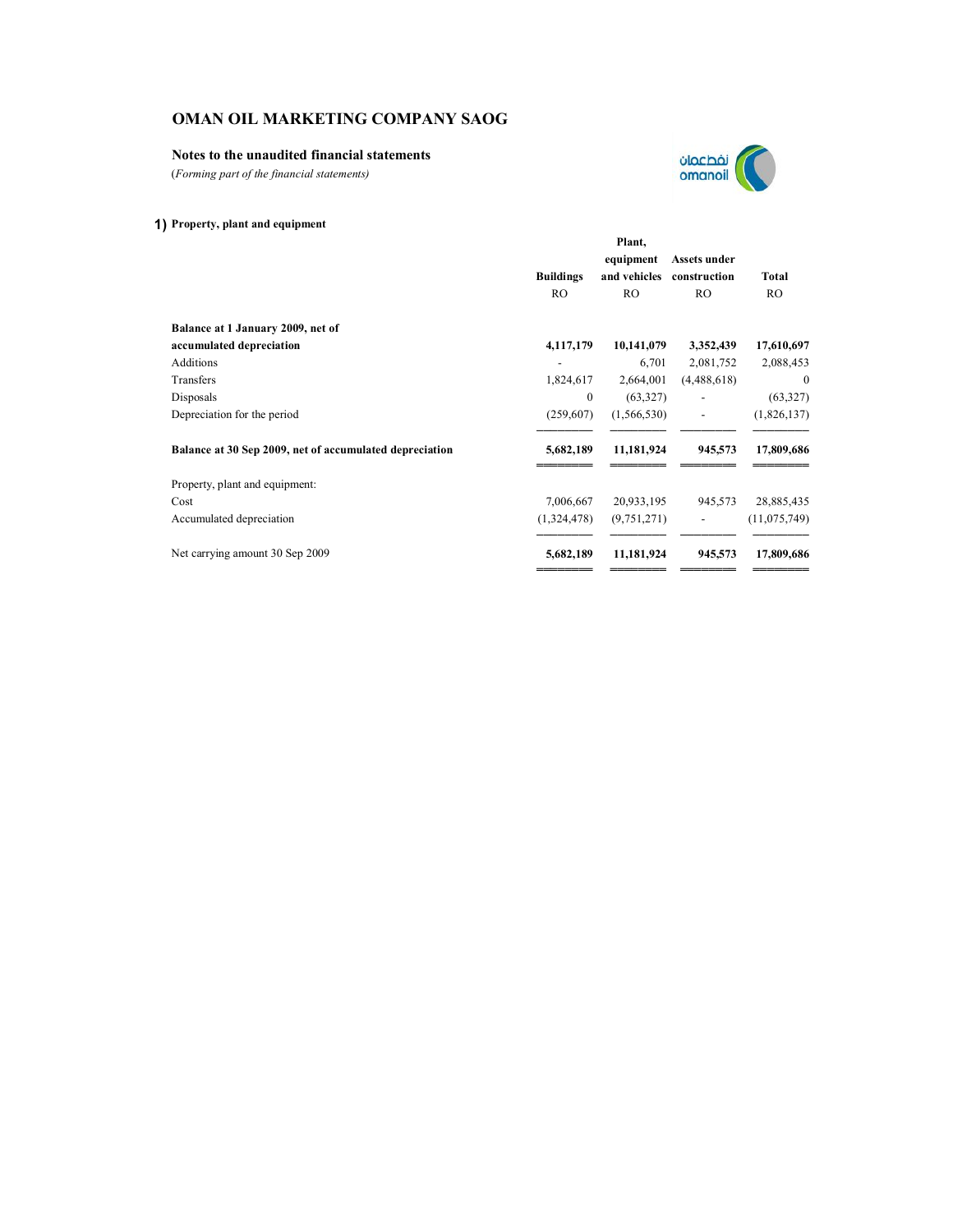# **Notes to the unaudited financial statements**

(*Forming part of the financial statements)*

# **1) Property, plant and equipment**

|                                                         |                  | Plant,         |                |                |
|---------------------------------------------------------|------------------|----------------|----------------|----------------|
|                                                         |                  | equipment      | Assets under   |                |
|                                                         | <b>Buildings</b> | and vehicles   | construction   | Total          |
|                                                         | R <sub>O</sub>   | R <sub>O</sub> | R <sub>O</sub> | R <sub>O</sub> |
| Balance at 1 January 2009, net of                       |                  |                |                |                |
| accumulated depreciation                                | 4,117,179        | 10,141,079     | 3,352,439      | 17,610,697     |
| <b>Additions</b>                                        |                  | 6,701          | 2,081,752      | 2,088,453      |
| Transfers                                               | 1,824,617        | 2,664,001      | (4,488,618)    | $\mathbf{0}$   |
| Disposals                                               | $\mathbf{0}$     | (63,327)       |                | (63, 327)      |
| Depreciation for the period                             | (259,607)        | (1, 566, 530)  |                | (1,826,137)    |
| Balance at 30 Sep 2009, net of accumulated depreciation | 5,682,189        | 11,181,924     | 945,573        | 17,809,686     |
| Property, plant and equipment:                          |                  |                |                |                |
| Cost                                                    | 7,006,667        | 20,933,195     | 945,573        | 28,885,435     |
| Accumulated depreciation                                | (1,324,478)      | (9,751,271)    |                | (11,075,749)   |
| Net carrying amount 30 Sep 2009                         | 5,682,189        | 11,181,924     | 945,573        | 17,809,686     |
|                                                         |                  |                |                |                |

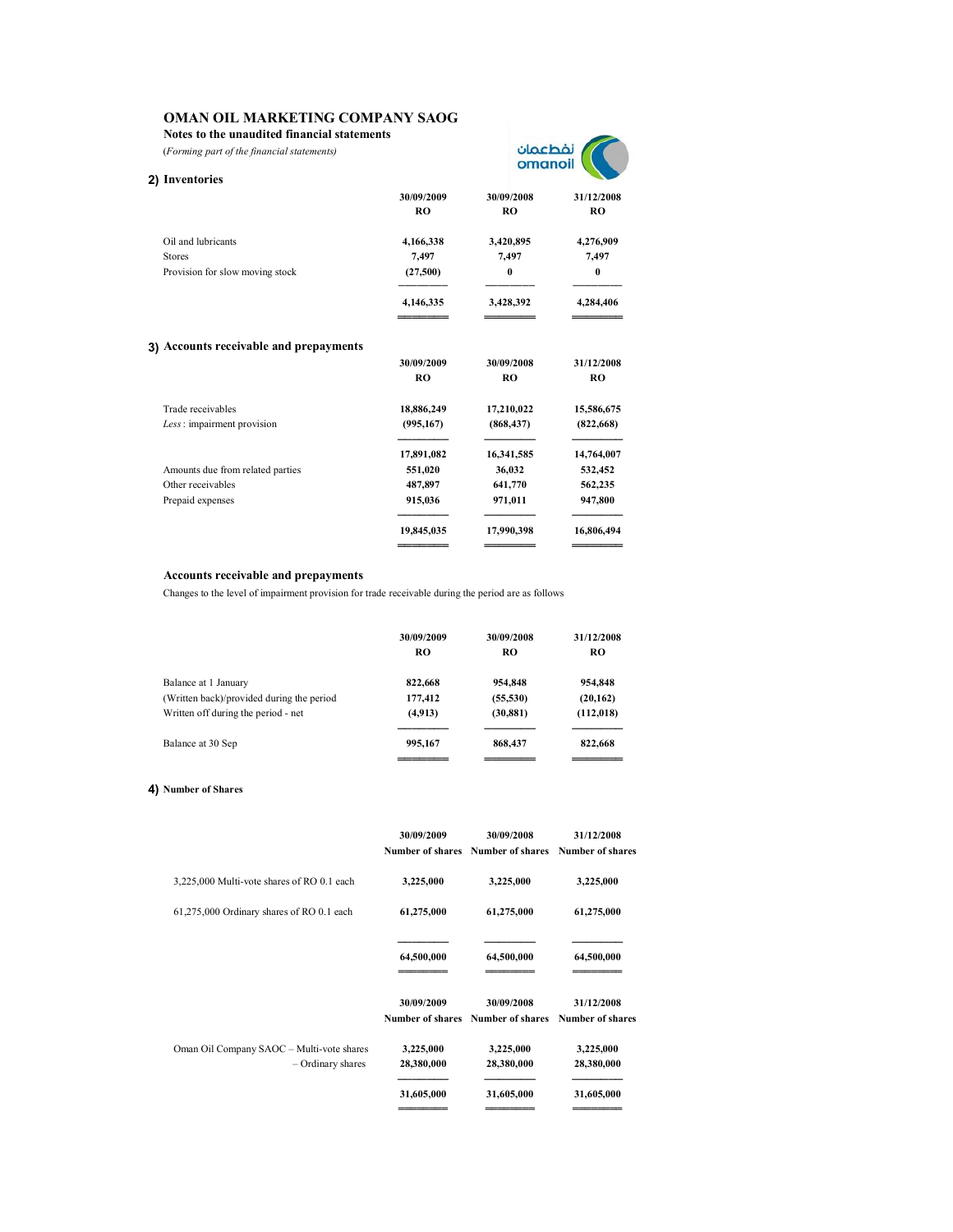**Notes to the unaudited financial statements**

(*Forming part of the financial statements)*



| 2) Inventories                         |                         |                         |                              |
|----------------------------------------|-------------------------|-------------------------|------------------------------|
|                                        | 30/09/2009<br><b>RO</b> | 30/09/2008<br><b>RO</b> | 31/12/2008<br>R <sub>O</sub> |
| Oil and lubricants                     | 4,166,338               | 3,420,895               | 4,276,909                    |
| <b>Stores</b>                          | 7,497                   | 7,497                   | 7,497                        |
| Provision for slow moving stock        | (27,500)                | $\bf{0}$                | $\bf{0}$                     |
|                                        | 4,146,335               | 3,428,392               | 4,284,406                    |
| 3) Accounts receivable and prepayments |                         |                         |                              |
|                                        | 30/09/2009              | 30/09/2008              | 31/12/2008                   |
|                                        | <b>RO</b>               | <b>RO</b>               | R <sub>O</sub>               |
| Trade receivables                      | 18,886,249              | 17,210,022              | 15,586,675                   |
| Less: impairment provision             | (995, 167)              | (868, 437)              | (822, 668)                   |
|                                        | 17,891,082              | 16,341,585              | 14,764,007                   |
| Amounts due from related parties       | 551,020                 | 36,032                  | 532,452                      |
| Other receivables                      | 487,897                 | 641,770                 | 562,235                      |
| Prepaid expenses                       | 915,036                 | 971,011                 | 947,800                      |
|                                        | 19,845,035              | 17,990,398              | 16,806,494                   |
|                                        |                         |                         |                              |

### **Accounts receivable and prepayments**

Changes to the level of impairment provision for trade receivable during the period are as follows

|                                           | 30/09/2009<br>RO | 30/09/2008<br>RO | 31/12/2008<br>RO |
|-------------------------------------------|------------------|------------------|------------------|
| Balance at 1 January                      | 822,668          | 954,848          | 954,848          |
| (Written back)/provided during the period | 177,412          | (55, 530)        | (20, 162)        |
| Written off during the period - net       | (4,913)          | (30, 881)        | (112,018)        |
| Balance at 30 Sep                         | 995,167          | 868,437          | 822,668          |

## **4) Number of Shares**

|                                                                | 30/09/2009              | 30/09/2008<br>Number of shares Number of shares Number of shares | 31/12/2008              |
|----------------------------------------------------------------|-------------------------|------------------------------------------------------------------|-------------------------|
| 3,225,000 Multi-vote shares of RO 0.1 each                     | 3,225,000               | 3,225,000                                                        | 3,225,000               |
| 61,275,000 Ordinary shares of RO 0.1 each                      | 61,275,000              | 61,275,000                                                       | 61,275,000              |
|                                                                | 64,500,000              | 64,500,000                                                       | 64,500,000              |
|                                                                | 30/09/2009              | 30/09/2008<br>Number of shares Number of shares Number of shares | 31/12/2008              |
| Oman Oil Company SAOC - Multi-vote shares<br>- Ordinary shares | 3,225,000<br>28,380,000 | 3,225,000<br>28,380,000                                          | 3,225,000<br>28,380,000 |
|                                                                | 31,605,000              | 31,605,000                                                       | 31,605,000              |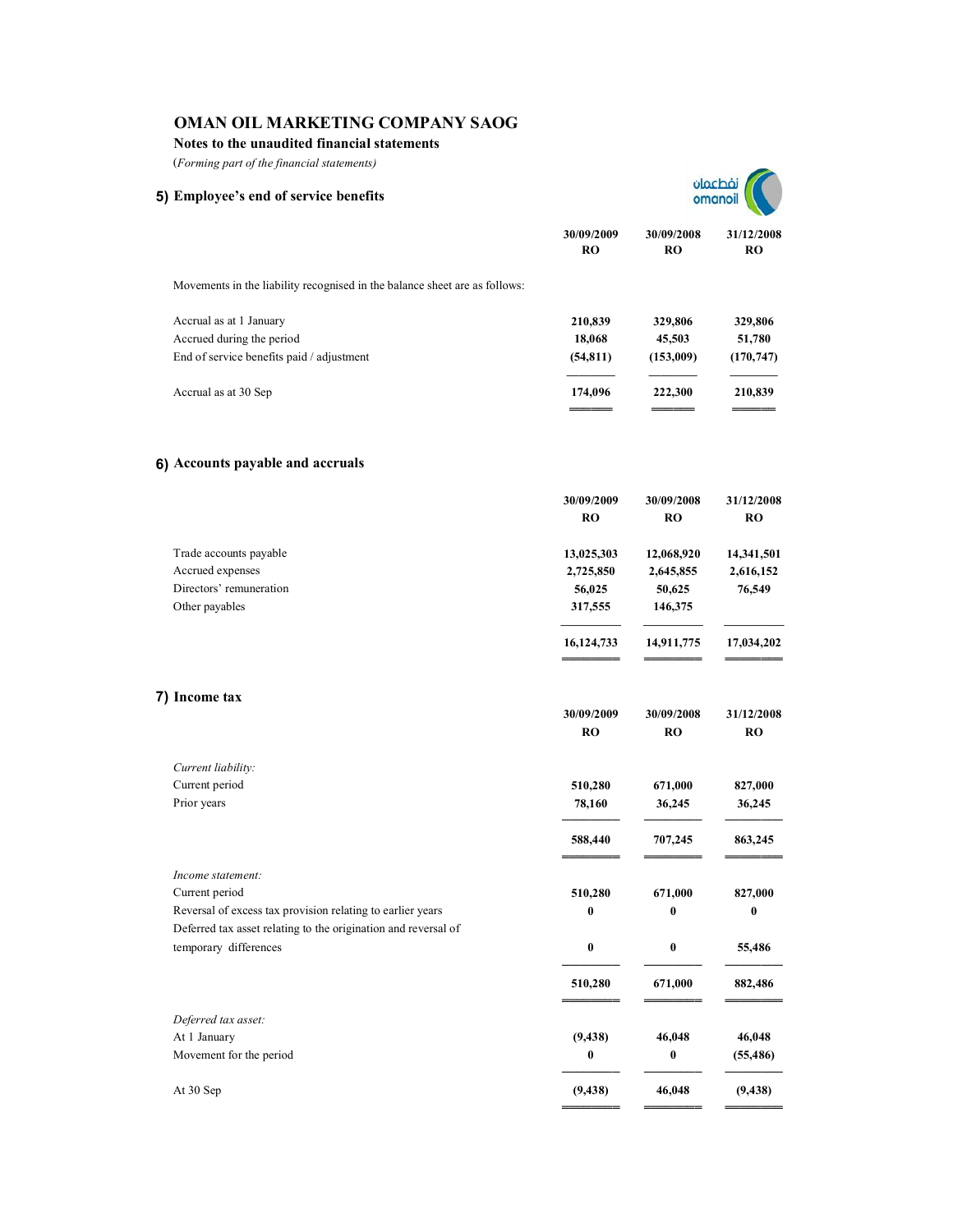**Notes to the unaudited financial statements**

(*Forming part of the financial statements)*

**5) Employee's end of service benefits**

**30/09/2009 30/09/2008 31/12/2008 RO RO RO**

| Movements in the liability recognised in the balance sheet are as follows: |           |           |            |
|----------------------------------------------------------------------------|-----------|-----------|------------|
| Accrual as at 1 January                                                    | 210.839   | 329,806   | 329,806    |
| Accrued during the period                                                  | 18,068    | 45,503    | 51,780     |
| End of service benefits paid / adjustment                                  | (54, 811) | (153,009) | (170, 747) |
|                                                                            |           |           |            |
| Accrual as at 30 Sep                                                       | 174,096   | 222,300   | 210,839    |
|                                                                            |           |           |            |

# **6) Accounts payable and accruals**

|                                                                                         | 30/09/2009<br><b>RO</b> | 30/09/2008<br><b>RO</b> | 31/12/2008<br><b>RO</b> |
|-----------------------------------------------------------------------------------------|-------------------------|-------------------------|-------------------------|
| Trade accounts payable                                                                  | 13,025,303              | 12,068,920              | 14,341,501              |
| Accrued expenses                                                                        | 2,725,850               | 2,645,855               | 2,616,152               |
| Directors' remuneration                                                                 | 56,025                  | 50,625                  | 76,549                  |
| Other payables                                                                          | 317,555                 | 146,375                 |                         |
|                                                                                         | 16,124,733              | 14,911,775              | 17,034,202              |
| 7) Income tax                                                                           |                         |                         |                         |
|                                                                                         | 30/09/2009<br><b>RO</b> | 30/09/2008<br><b>RO</b> | 31/12/2008<br><b>RO</b> |
| Current liability:                                                                      |                         |                         |                         |
| Current period                                                                          | 510,280                 | 671,000                 | 827,000                 |
| Prior years                                                                             | 78,160                  | 36,245                  | 36,245                  |
|                                                                                         | 588,440                 | 707,245                 | 863,245                 |
| Income statement:                                                                       |                         |                         |                         |
| Current period                                                                          | 510,280                 | 671,000                 | 827,000                 |
| Reversal of excess tax provision relating to earlier years                              | 0                       | $\bf{0}$                | 0                       |
| Deferred tax asset relating to the origination and reversal of<br>temporary differences | $\bf{0}$                | $\bf{0}$                | 55,486                  |
|                                                                                         | 510,280                 | 671,000                 | 882,486                 |
|                                                                                         |                         |                         |                         |
| Deferred tax asset:                                                                     |                         |                         |                         |
| At 1 January                                                                            | (9, 438)                | 46,048                  | 46,048                  |
| Movement for the period                                                                 | 0                       | $\bf{0}$                | (55, 486)               |
| At 30 Sep                                                                               | (9, 438)                | 46,048                  | (9, 438)                |
|                                                                                         |                         |                         |                         |